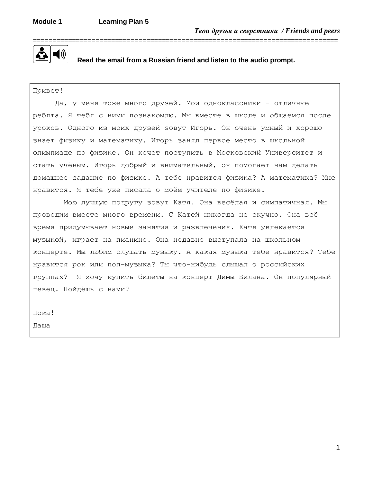

 **Read the email from a Russian friend and listen to the audio prompt.** 

Привет!

Да, у меня тоже много друзей. Мои одноклассники - отличные ребята. Я тебя с ними познакомлю. Мы вместе в школе и общаемся после уроков. Одного из моих друзей зовут Игорь. Он очень умный и хорошо знает физику и математику. Игорь занял первое место в школьной олимпиаде по физике. Он хочет поступить в Московский Университет и стать учёным. Игорь добрый и внимательный, он помогает нам делать домашнее задание по физике. А тебе нравится физика? А математика? Мне нравится. Я тебе уже писала о моём учителе по физике.

 Мою лучшую подругу зовут Катя. Она весёлая и симпатичная. Мы проводим вместе много времени. С Катей никогда не скучно. Она всё время придумывает новые занятия и развлечения. Катя увлекается музыкой, играет на пианино. Она недавно выступала на школьном концерте. Мы любим слушать музыку. А какая музыка тебе нравится? Тебе нравится рок или поп-музыка? Ты что-нибудь слышал о российских группах? Я хочу купить билеты на концерт Димы Билана. Он популярный певец. Пойдёшь с нами?

Пока!

Даша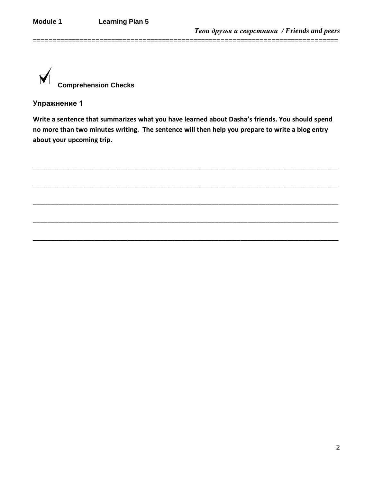**Comprehension Checks**

#### **Упражнение 1**

**Write a sentence that summarizes what you have learned about Dasha's friends. You should spend no more than two minutes writing. The sentence will then help you prepare to write a blog entry about your upcoming trip.**

\_\_\_\_\_\_\_\_\_\_\_\_\_\_\_\_\_\_\_\_\_\_\_\_\_\_\_\_\_\_\_\_\_\_\_\_\_\_\_\_\_\_\_\_\_\_\_\_\_\_\_\_\_\_\_\_\_\_\_\_\_\_\_\_\_\_\_\_\_\_\_\_\_\_\_\_\_\_\_\_\_\_\_\_

\_\_\_\_\_\_\_\_\_\_\_\_\_\_\_\_\_\_\_\_\_\_\_\_\_\_\_\_\_\_\_\_\_\_\_\_\_\_\_\_\_\_\_\_\_\_\_\_\_\_\_\_\_\_\_\_\_\_\_\_\_\_\_\_\_\_\_\_\_\_\_\_\_\_\_\_\_\_\_\_\_\_\_\_

\_\_\_\_\_\_\_\_\_\_\_\_\_\_\_\_\_\_\_\_\_\_\_\_\_\_\_\_\_\_\_\_\_\_\_\_\_\_\_\_\_\_\_\_\_\_\_\_\_\_\_\_\_\_\_\_\_\_\_\_\_\_\_\_\_\_\_\_\_\_\_\_\_\_\_\_\_\_\_\_\_\_\_\_

\_\_\_\_\_\_\_\_\_\_\_\_\_\_\_\_\_\_\_\_\_\_\_\_\_\_\_\_\_\_\_\_\_\_\_\_\_\_\_\_\_\_\_\_\_\_\_\_\_\_\_\_\_\_\_\_\_\_\_\_\_\_\_\_\_\_\_\_\_\_\_\_\_\_\_\_\_\_\_\_\_\_\_\_

\_\_\_\_\_\_\_\_\_\_\_\_\_\_\_\_\_\_\_\_\_\_\_\_\_\_\_\_\_\_\_\_\_\_\_\_\_\_\_\_\_\_\_\_\_\_\_\_\_\_\_\_\_\_\_\_\_\_\_\_\_\_\_\_\_\_\_\_\_\_\_\_\_\_\_\_\_\_\_\_\_\_\_\_

==============================================================================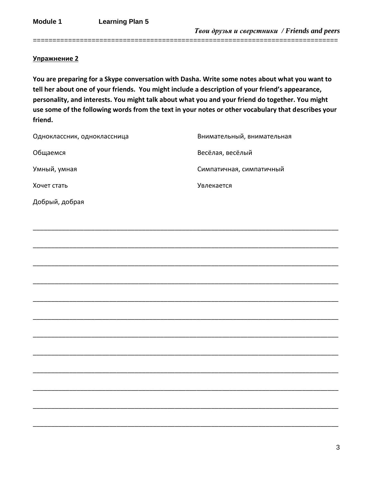#### Упражнение 2

You are preparing for a Skype conversation with Dasha. Write some notes about what you want to tell her about one of your friends. You might include a description of your friend's appearance, personality, and interests. You might talk about what you and your friend do together. You might use some of the following words from the text in your notes or other vocabulary that describes your friend.

| Одноклассник, одноклассница | Внимательный, внимательная |
|-----------------------------|----------------------------|
| Общаемся                    | Весёлая, весёлый           |
| Умный, умная                | Симпатичная, симпатичный   |
| Хочет стать                 | Увлекается                 |
| Добрый, добрая              |                            |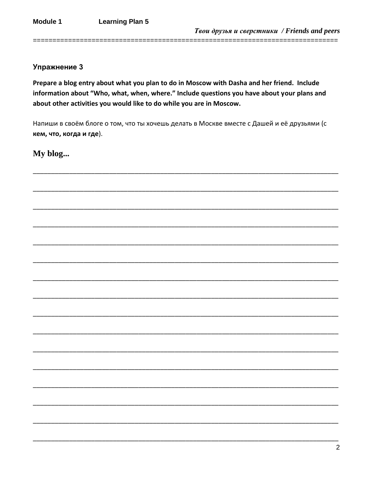# Упражнение 3

Prepare a blog entry about what you plan to do in Moscow with Dasha and her friend. Include information about "Who, what, when, where." Include questions you have about your plans and about other activities you would like to do while you are in Moscow.

Напиши в своём блоге о том, что ты хочешь делать в Москве вместе с Дашей и её друзьями (с кем, что, когда и где).

My blog...

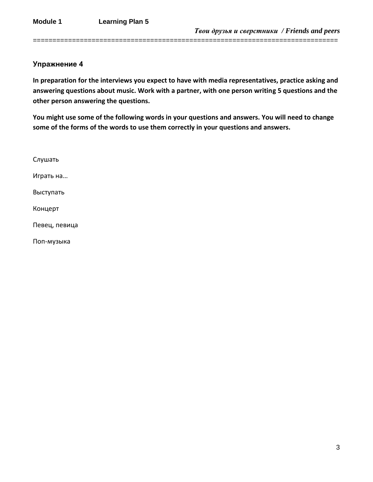## **Упражнение 4**

**In preparation for the interviews you expect to have with media representatives, practice asking and answering questions about music. Work with a partner, with one person writing 5 questions and the other person answering the questions.**

==============================================================================

**You might use some of the following words in your questions and answers. You will need to change some of the forms of the words to use them correctly in your questions and answers.**

Слушать Играть на… Выступать Концерт Певец, певица Поп-музыка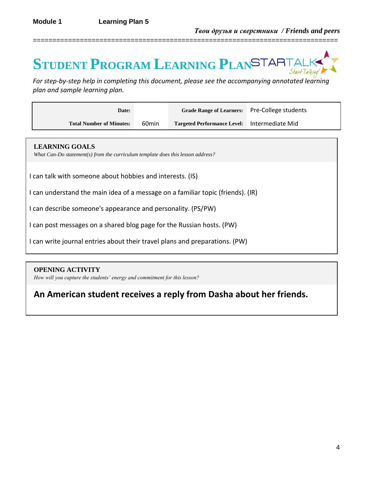# **STUDENT PROGRAM LEARNING PLAN**

*For step-by-step help in completing this document, please see the accompanying annotated learning plan and sample learning plan.*

==============================================================================

| Date:                           |                   | Grade Range of Learners: Pre-College students |  |
|---------------------------------|-------------------|-----------------------------------------------|--|
| <b>Total Number of Minutes:</b> | 60 <sub>min</sub> | Targeted Performance Level: Intermediate Mid  |  |

#### **LEARNING GOALS**

*What Can-Do statement(s) from the curriculum template does this lesson address?*

I can talk with someone about hobbies and interests. (IS)

I can understand the main idea of a message on a familiar topic (friends). (IR)

I can describe someone's appearance and personality. (PS/PW)

I can post messages on a shared blog page for the Russian hosts. (PW)

I can write journal entries about their travel plans and preparations. (PW)

#### **OPENING ACTIVITY**

*How will you capture the students' energy and commitment for this lesson?*

# **An American student receives a reply from Dasha about her friends.**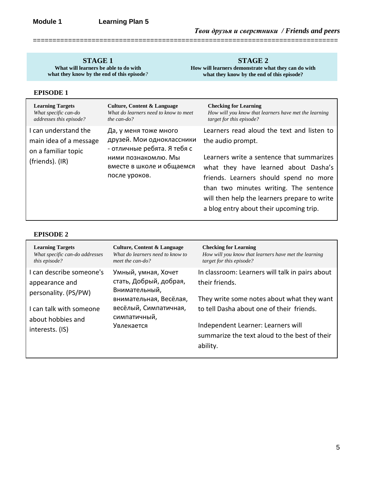**STAGE 1 What will learners be able to do with what they know by the end of this episode***?*

## **STAGE 2**

**How will learners demonstrate what they can do with what they know by the end of this episode?**

#### **EPISODE 1**

| <b>Learning Targets</b>                                                                  | <b>Culture, Content &amp; Language</b>                                                                                                                 | <b>Checking for Learning</b>                                                                                                                                                                                                                                                                                                        |
|------------------------------------------------------------------------------------------|--------------------------------------------------------------------------------------------------------------------------------------------------------|-------------------------------------------------------------------------------------------------------------------------------------------------------------------------------------------------------------------------------------------------------------------------------------------------------------------------------------|
| What specific can-do                                                                     | What do learners need to know to meet                                                                                                                  | How will you know that learners have met the learning                                                                                                                                                                                                                                                                               |
| addresses this episode?                                                                  | the can-do?                                                                                                                                            | target for this episode?                                                                                                                                                                                                                                                                                                            |
| I can understand the<br>main idea of a message<br>on a familiar topic<br>(friends). (IR) | Да, у меня тоже много<br>друзей. Мои одноклассники<br>- отличные ребята. Я тебя с<br>ними познакомлю. Мы<br>вместе в школе и общаемся<br>после уроков. | Learners read aloud the text and listen to<br>the audio prompt.<br>Learners write a sentence that summarizes<br>what they have learned about Dasha's<br>friends. Learners should spend no more<br>than two minutes writing. The sentence<br>will then help the learners prepare to write<br>a blog entry about their upcoming trip. |

==============================================================================

#### **EPISODE 2**

| <b>Learning Targets</b><br>What specific can-do addresses<br>this episode? | Culture, Content & Language<br>What do learners need to know to<br>meet the can-do? | <b>Checking for Learning</b><br>How will you know that learners have met the learning<br>target for this episode? |
|----------------------------------------------------------------------------|-------------------------------------------------------------------------------------|-------------------------------------------------------------------------------------------------------------------|
| I can describe someone's<br>appearance and<br>personality. (PS/PW)         | Умный, умная, Хочет<br>стать, Добрый, добрая,<br>Внимательный,                      | In classroom: Learners will talk in pairs about<br>their friends.                                                 |
| I can talk with someone<br>about hobbies and                               | внимательная, Весёлая,<br>весёлый, Симпатичная,<br>симпатичный,                     | They write some notes about what they want<br>to tell Dasha about one of their friends.                           |
| interests. (IS)                                                            | Увлекается                                                                          | Independent Learner: Learners will<br>summarize the text aloud to the best of their<br>ability.                   |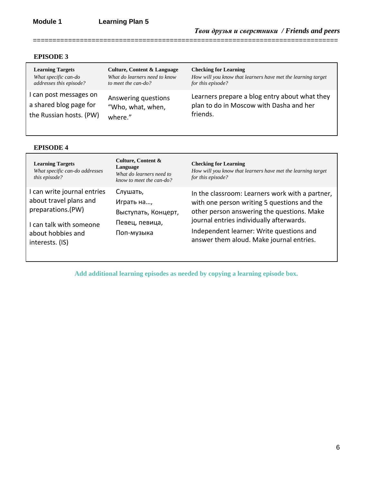#### **EPISODE 3**

| <b>Learning Targets</b> | <b>Culture, Content &amp; Language</b> | <b>Checking for Learning</b>                                 |
|-------------------------|----------------------------------------|--------------------------------------------------------------|
| What specific can-do    | What do learners need to know          | How will you know that learners have met the learning target |
| addresses this episode? | to meet the can-do?                    | for this episode?                                            |
| I can post messages on  | Answering questions                    | Learners prepare a blog entry about what they                |
| a shared blog page for  | "Who, what, when,                      | plan to do in Moscow with Dasha and her                      |
| the Russian hosts. (PW) | where."                                | friends.                                                     |

==============================================================================

#### **EPISODE 4**

| <b>Learning Targets</b><br>What specific can-do addresses<br>this episode?                                                                    | Culture, Content &<br>Language<br>What do learners need to<br>know to meet the can-do? | <b>Checking for Learning</b><br>How will you know that learners have met the learning target<br>for this episode?                                                                                                                                                                |
|-----------------------------------------------------------------------------------------------------------------------------------------------|----------------------------------------------------------------------------------------|----------------------------------------------------------------------------------------------------------------------------------------------------------------------------------------------------------------------------------------------------------------------------------|
| I can write journal entries<br>about travel plans and<br>preparations.(PW)<br>I can talk with someone<br>about hobbies and<br>interests. (IS) | Слушать,<br>Играть на,<br>Выступать, Концерт,<br>Певец, певица,<br>Поп-музыка          | In the classroom: Learners work with a partner,<br>with one person writing 5 questions and the<br>other person answering the questions. Make<br>journal entries individually afterwards.<br>Independent learner: Write questions and<br>answer them aloud. Make journal entries. |

**Add additional learning episodes as needed by copying a learning episode box.**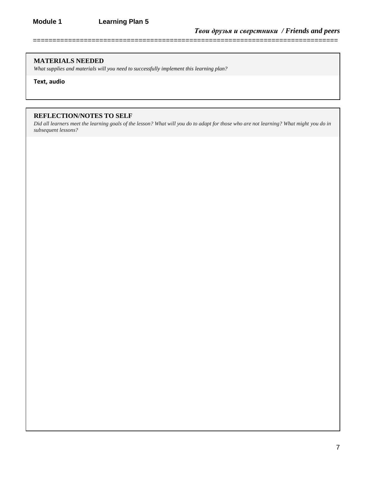==============================================================================

#### **MATERIALS NEEDED**

*What supplies and materials will you need to successfully implement this learning plan?*

**Text, audio**

#### **REFLECTION/NOTES TO SELF**

*Did all learners meet the learning goals of the lesson? What will you do to adapt for those who are not learning? What might you do in subsequent lessons?*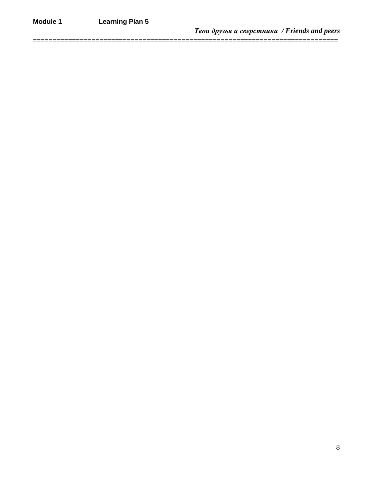==============================================================================

8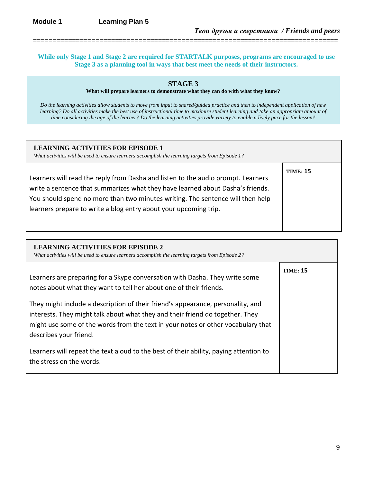**TIME: 15**

**While only Stage 1 and Stage 2 are required for STARTALK purposes, programs are encouraged to use Stage 3 as a planning tool in ways that best meet the needs of their instructors.**

==============================================================================

#### **STAGE 3**

**What will prepare learners to demonstrate what they can do with what they know?** 

*Do the learning activities allow students to move from input to shared/guided practice and then to independent application of new learning? Do all activities make the best use of instructional time to maximize student learning and take an appropriate amount of time considering the age of the learner? Do the learning activities provide variety to enable a lively pace for the lesson?*

#### **LEARNING ACTIVITIES FOR EPISODE 1**

*What activities will be used to ensure learners accomplish the learning targets from Episode 1?* 

| Learners will read the reply from Dasha and listen to the audio prompt. Learners |
|----------------------------------------------------------------------------------|
| write a sentence that summarizes what they have learned about Dasha's friends.   |
| You should spend no more than two minutes writing. The sentence will then help   |
| learners prepare to write a blog entry about your upcoming trip.                 |

| <b>LEARNING ACTIVITIES FOR EPISODE 2</b><br>What activities will be used to ensure learners accomplish the learning targets from Episode 2?                                                                                                                                    |                 |
|--------------------------------------------------------------------------------------------------------------------------------------------------------------------------------------------------------------------------------------------------------------------------------|-----------------|
| Learners are preparing for a Skype conversation with Dasha. They write some<br>notes about what they want to tell her about one of their friends.                                                                                                                              | <b>TIME: 15</b> |
| They might include a description of their friend's appearance, personality, and<br>interests. They might talk about what they and their friend do together. They<br>might use some of the words from the text in your notes or other vocabulary that<br>describes your friend. |                 |
| Learners will repeat the text aloud to the best of their ability, paying attention to<br>the stress on the words.                                                                                                                                                              |                 |